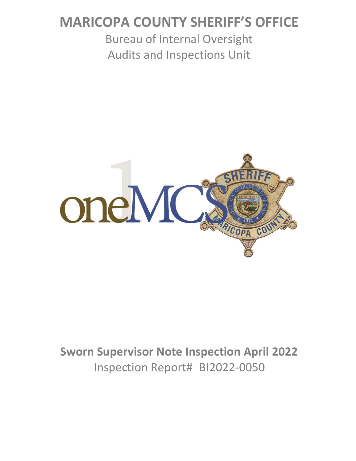# **MARICOPA COUNTY SHERIFF'S OFFICE**

Bureau of Internal Oversight Audits and Inspections Unit



# **Sworn Supervisor Note Inspection April 2022** Inspection Report# BI2022-0050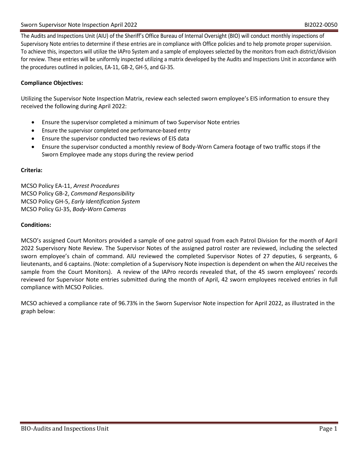The Audits and Inspections Unit (AIU) of the Sheriff's Office Bureau of Internal Oversight (BIO) will conduct monthly inspections of Supervisory Note entries to determine if these entries are in compliance with Office policies and to help promote proper supervision. To achieve this, inspectors will utilize the IAPro System and a sample of employees selected by the monitors from each district/division for review. These entries will be uniformly inspected utilizing a matrix developed by the Audits and Inspections Unit in accordance with the procedures outlined in policies, EA-11, GB-2, GH-5, and GJ-35.

### **Compliance Objectives:**

Utilizing the Supervisor Note Inspection Matrix, review each selected sworn employee's EIS information to ensure they received the following during April 2022:

- Ensure the supervisor completed a minimum of two Supervisor Note entries
- Ensure the supervisor completed one performance-based entry
- Ensure the supervisor conducted two reviews of EIS data
- Ensure the supervisor conducted a monthly review of Body-Worn Camera footage of two traffic stops if the Sworn Employee made any stops during the review period

### **Criteria:**

MCSO Policy EA-11, *Arrest Procedures* MCSO Policy GB-2, *Command Responsibility* MCSO Policy GH-5, *Early Identification System* MCSO Policy GJ-35, *Body-Worn Cameras*

### **Conditions:**

MCSO's assigned Court Monitors provided a sample of one patrol squad from each Patrol Division for the month of April 2022 Supervisory Note Review. The Supervisor Notes of the assigned patrol roster are reviewed, including the selected sworn employee's chain of command. AIU reviewed the completed Supervisor Notes of 27 deputies, 6 sergeants, 6 lieutenants, and 6 captains. (Note: completion of a Supervisory Note inspection is dependent on when the AIU receives the sample from the Court Monitors). A review of the IAPro records revealed that, of the 45 sworn employees' records reviewed for Supervisor Note entries submitted during the month of April, 42 sworn employees received entries in full compliance with MCSO Policies.

MCSO achieved a compliance rate of 96.73% in the Sworn Supervisor Note inspection for April 2022, as illustrated in the graph below: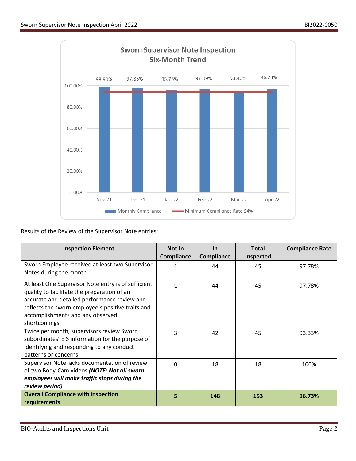

Results of the Review of the Supervisor Note entries:

| <b>Inspection Element</b>                                                                                                                                                                                                                                   | <b>Not In</b><br><b>Compliance</b> | <b>In</b><br>Compliance | <b>Total</b><br><b>Inspected</b> | <b>Compliance Rate</b> |
|-------------------------------------------------------------------------------------------------------------------------------------------------------------------------------------------------------------------------------------------------------------|------------------------------------|-------------------------|----------------------------------|------------------------|
| Sworn Employee received at least two Supervisor<br>Notes during the month                                                                                                                                                                                   | 1                                  | 44                      | 45                               | 97.78%                 |
| At least One Supervisor Note entry is of sufficient<br>quality to facilitate the preparation of an<br>accurate and detailed performance review and<br>reflects the sworn employee's positive traits and<br>accomplishments and any observed<br>shortcomings | 1                                  | 44                      | 45                               | 97.78%                 |
| Twice per month, supervisors review Sworn<br>subordinates' EIS information for the purpose of<br>identifying and responding to any conduct<br>patterns or concerns                                                                                          | 3                                  | 42                      | 45                               | 93.33%                 |
| Supervisor Note lacks documentation of review<br>of two Body-Cam videos (NOTE: Not all sworn<br>employees will make traffic stops during the<br>review period)                                                                                              | $\Omega$                           | 18                      | 18                               | 100%                   |
| <b>Overall Compliance with inspection</b><br>requirements                                                                                                                                                                                                   | 5                                  | 148                     | 153                              | 96.73%                 |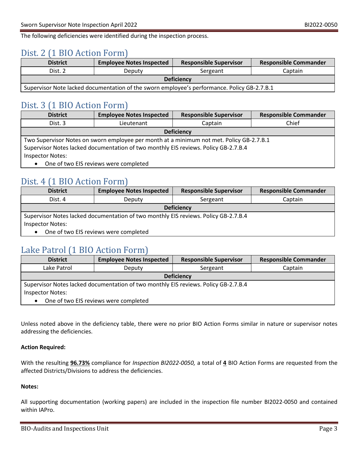The following deficiencies were identified during the inspection process.

## Dist. 2 (1 BIO Action Form)

| <b>District</b>                                                                             | <b>Employee Notes Inspected</b> | <b>Responsible Supervisor</b> | <b>Responsible Commander</b> |  |
|---------------------------------------------------------------------------------------------|---------------------------------|-------------------------------|------------------------------|--|
| Dist. 2                                                                                     | Deputy                          | Sergeant                      | Captain                      |  |
| <b>Deficiency</b>                                                                           |                                 |                               |                              |  |
| Supervisor Note lacked documentation of the sworn employee's performance. Policy GB-2.7.B.1 |                                 |                               |                              |  |

## Dist. 3 (1 BIO Action Form)

| <b>District</b>                                                                          | <b>Employee Notes Inspected</b> | <b>Responsible Supervisor</b> | <b>Responsible Commander</b> |
|------------------------------------------------------------------------------------------|---------------------------------|-------------------------------|------------------------------|
| Dist. 3                                                                                  | Lieutenant                      | Captain                       | Chief                        |
| <b>Deficiency</b>                                                                        |                                 |                               |                              |
| Two Supervisor Notes on sworn employee per month at a minimum not met. Policy GB-2.7.B.1 |                                 |                               |                              |
| Supervisor Notes lacked documentation of two monthly EIS reviews. Policy GB-2.7.B.4      |                                 |                               |                              |
| <b>Inspector Notes:</b>                                                                  |                                 |                               |                              |
| One of two EIS reviews were completed<br>$\bullet$                                       |                                 |                               |                              |

## Dist. 4 (1 BIO Action Form)

| <b>District</b>                                                                     | <b>Employee Notes Inspected</b> | <b>Responsible Supervisor</b> | <b>Responsible Commander</b> |
|-------------------------------------------------------------------------------------|---------------------------------|-------------------------------|------------------------------|
| Dist. 4                                                                             | Deputy                          | Sergeant                      | Captain                      |
| <b>Deficiency</b>                                                                   |                                 |                               |                              |
| Supervisor Notes lacked documentation of two monthly EIS reviews. Policy GB-2.7.B.4 |                                 |                               |                              |
| <b>Inspector Notes:</b>                                                             |                                 |                               |                              |
| One of two EIS reviews were completed<br>$\bullet$                                  |                                 |                               |                              |

## Lake Patrol (1 BIO Action Form)

| <b>District</b>                                                                     | <b>Employee Notes Inspected</b> | <b>Responsible Supervisor</b> | <b>Responsible Commander</b> |
|-------------------------------------------------------------------------------------|---------------------------------|-------------------------------|------------------------------|
| Lake Patrol                                                                         | Deputy                          | Sergeant                      | Captain                      |
| <b>Deficiency</b>                                                                   |                                 |                               |                              |
| Supervisor Notes lacked documentation of two monthly EIS reviews. Policy GB-2.7.B.4 |                                 |                               |                              |
| <b>Inspector Notes:</b>                                                             |                                 |                               |                              |
| One of two EIS reviews were completed                                               |                                 |                               |                              |

Unless noted above in the deficiency table, there were no prior BIO Action Forms similar in nature or supervisor notes addressing the deficiencies.

### **Action Required:**

With the resulting **96.73%** compliance for *Inspection BI2022-0050,* a total of **4** BIO Action Forms are requested from the affected Districts/Divisions to address the deficiencies.

### **Notes:**

All supporting documentation (working papers) are included in the inspection file number BI2022-0050 and contained within IAPro.